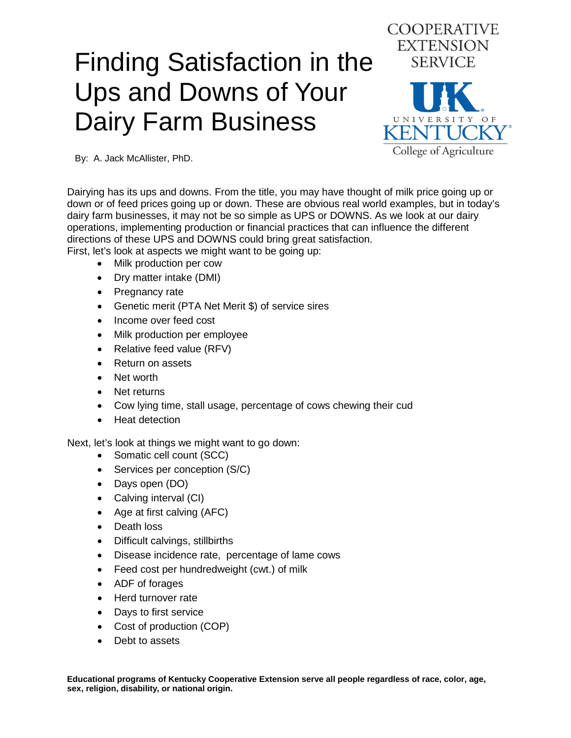## Finding Satisfaction in the Ups and Downs of Your Dairy Farm Business



By: A. Jack McAllister, PhD.

Dairying has its ups and downs. From the title, you may have thought of milk price going up or down or of feed prices going up or down. These are obvious real world examples, but in today's dairy farm businesses, it may not be so simple as UPS or DOWNS. As we look at our dairy operations, implementing production or financial practices that can influence the different directions of these UPS and DOWNS could bring great satisfaction.

First, let's look at aspects we might want to be going up:

- Milk production per cow
- Dry matter intake (DMI)
- Pregnancy rate
- Genetic merit (PTA Net Merit \$) of service sires
- Income over feed cost
- Milk production per employee
- Relative feed value (RFV)
- Return on assets
- Net worth
- Net returns
- Cow lying time, stall usage, percentage of cows chewing their cud
- Heat detection

Next, let's look at things we might want to go down:

- Somatic cell count (SCC)
- Services per conception (S/C)
- Days open (DO)
- Calving interval (CI)
- Age at first calving (AFC)
- Death loss
- Difficult calvings, stillbirths
- Disease incidence rate, percentage of lame cows
- Feed cost per hundredweight (cwt.) of milk
- ADF of forages
- Herd turnover rate
- Days to first service
- Cost of production (COP)
- Debt to assets